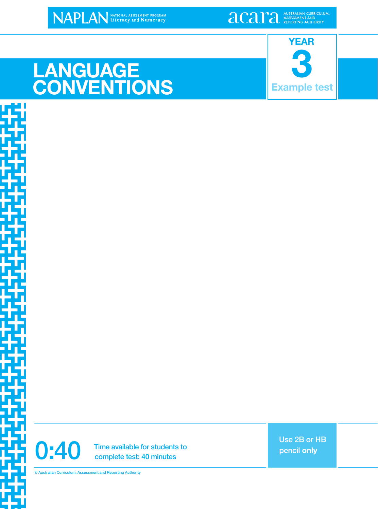**LANGUAGE**

## **3 YEAR Example test**

# **CONVENTIONS**

0:40 Time available for students to<br>complete test: 40 minutes complete test: 40 minutes

Use 2B or HB pencil **only**

© Australian Curriculum, Assessment and Reporting Authority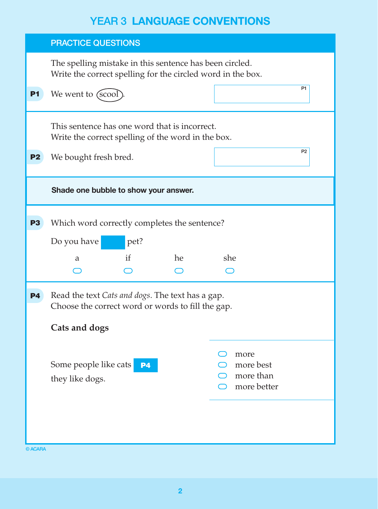|                | <b>PRACTICE QUESTIONS</b>                                                                                              |                                               |  |  |  |
|----------------|------------------------------------------------------------------------------------------------------------------------|-----------------------------------------------|--|--|--|
|                | The spelling mistake in this sentence has been circled.<br>Write the correct spelling for the circled word in the box. |                                               |  |  |  |
| <b>P1</b>      | We went to (scool)                                                                                                     | P <sub>1</sub>                                |  |  |  |
|                | This sentence has one word that is incorrect.<br>Write the correct spelling of the word in the box.                    |                                               |  |  |  |
| P <sub>2</sub> | We bought fresh bred.                                                                                                  | P <sub>2</sub>                                |  |  |  |
|                | Shade one bubble to show your answer.                                                                                  |                                               |  |  |  |
| <b>P3</b>      | Which word correctly completes the sentence?<br>Do you have<br>pet?                                                    |                                               |  |  |  |
|                | if<br>he<br>a                                                                                                          | she                                           |  |  |  |
| P4             | Read the text Cats and dogs. The text has a gap.<br>Choose the correct word or words to fill the gap.                  |                                               |  |  |  |
|                | Cats and dogs                                                                                                          |                                               |  |  |  |
|                | Some people like cats<br><b>P4</b><br>they like dogs.                                                                  | more<br>more best<br>more than<br>more better |  |  |  |
| © ACARA        |                                                                                                                        |                                               |  |  |  |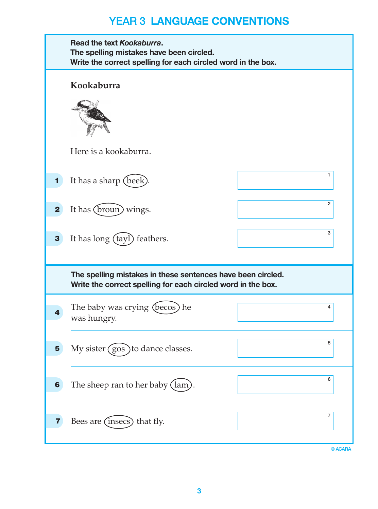|             | Read the text Kookaburra.<br>The spelling mistakes have been circled.<br>Write the correct spelling for each circled word in the box. |                |
|-------------|---------------------------------------------------------------------------------------------------------------------------------------|----------------|
|             | Kookaburra                                                                                                                            |                |
|             | Here is a kookaburra.                                                                                                                 |                |
|             | It has a sharp (beek)                                                                                                                 | 1              |
| $\mathbf 2$ | It has (broun) wings.                                                                                                                 | $\overline{2}$ |
| 3           | It has long (tayl) feathers.                                                                                                          | 3              |
|             | The spelling mistakes in these sentences have been circled.<br>Write the correct spelling for each circled word in the box.           |                |
|             | The baby was crying (becos) he<br>was hungry.                                                                                         | 4              |
| 5           | My sister (gos) to dance classes.                                                                                                     | 5              |
| 6           | The sheep ran to her baby (lam).                                                                                                      | 6              |
| 7           | Bees are (insecs) that fly.                                                                                                           | 7              |
|             |                                                                                                                                       | © ACARA        |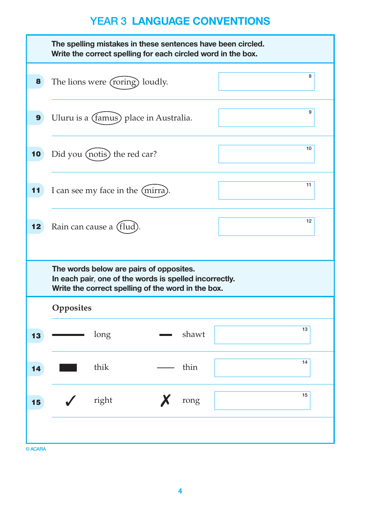|    |                              | The spelling mistakes in these sentences have been circled.<br>Write the correct spelling for each circled word in the box.                             |       |    |
|----|------------------------------|---------------------------------------------------------------------------------------------------------------------------------------------------------|-------|----|
| 8  |                              | The lions were (roring) loudly.                                                                                                                         |       | 8  |
| 9  |                              | Uluru is a (famus) place in Australia.                                                                                                                  |       | 9  |
| 10 | Did you (notis) the red car? |                                                                                                                                                         |       | 10 |
| 11 |                              | I can see my face in the (mirra)                                                                                                                        |       | 11 |
| 12 | Rain can cause a (flud)      |                                                                                                                                                         |       | 12 |
|    |                              | The words below are pairs of opposites.<br>In each pair, one of the words is spelled incorrectly.<br>Write the correct spelling of the word in the box. |       |    |
|    | Opposites                    |                                                                                                                                                         |       |    |
| 13 | long                         |                                                                                                                                                         | shawt | 13 |
| 14 | thik                         |                                                                                                                                                         | thin  | 14 |
| 15 | right                        | X                                                                                                                                                       | rong  | 15 |
|    |                              |                                                                                                                                                         |       |    |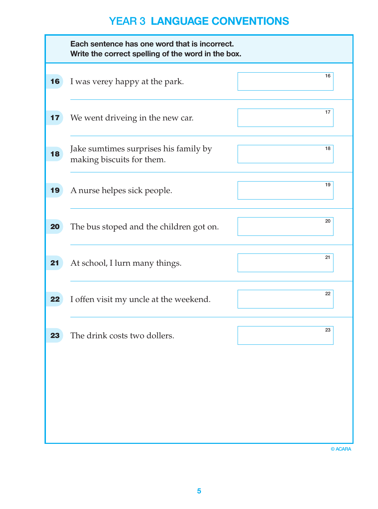|    | Each sentence has one word that is incorrect.<br>Write the correct spelling of the word in the box. |    |
|----|-----------------------------------------------------------------------------------------------------|----|
| 16 | I was verey happy at the park.                                                                      | 16 |
| 17 | We went driveing in the new car.                                                                    | 17 |
| 18 | Jake sumtimes surprises his family by<br>making biscuits for them.                                  | 18 |
| 19 | A nurse helpes sick people.                                                                         | 19 |
| 20 | The bus stoped and the children got on.                                                             | 20 |
| 21 | At school, I lurn many things.                                                                      | 21 |
| 22 | I offen visit my uncle at the weekend.                                                              | 22 |
| 23 | The drink costs two dollers.                                                                        | 23 |
|    |                                                                                                     |    |
|    |                                                                                                     |    |
|    |                                                                                                     |    |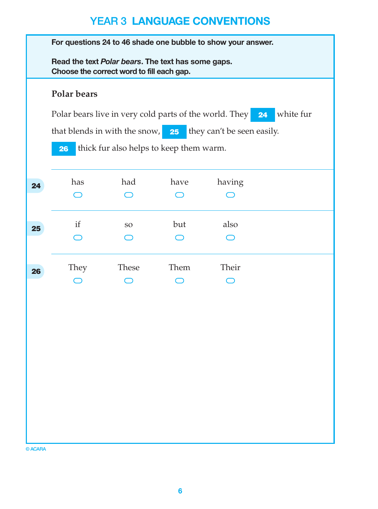|    | For questions 24 to 46 shade one bubble to show your answer.                                    |                                         |      |                                      |           |  |
|----|-------------------------------------------------------------------------------------------------|-----------------------------------------|------|--------------------------------------|-----------|--|
|    | Read the text Polar bears. The text has some gaps.<br>Choose the correct word to fill each gap. |                                         |      |                                      |           |  |
|    | Polar bears                                                                                     |                                         |      |                                      |           |  |
|    | Polar bears live in very cold parts of the world. They                                          |                                         |      | 24                                   | white fur |  |
|    | that blends in with the snow,                                                                   |                                         |      | <b>25</b> they can't be seen easily. |           |  |
|    | 26                                                                                              | thick fur also helps to keep them warm. |      |                                      |           |  |
| 24 | has                                                                                             | had                                     | have | having                               |           |  |
|    |                                                                                                 |                                         |      |                                      |           |  |
| 25 | if                                                                                              | <b>SO</b>                               | but  | also                                 |           |  |
|    |                                                                                                 |                                         |      |                                      |           |  |
| 26 | They                                                                                            | <b>These</b>                            | Them | Their                                |           |  |
|    |                                                                                                 |                                         |      |                                      |           |  |
|    |                                                                                                 |                                         |      |                                      |           |  |
|    |                                                                                                 |                                         |      |                                      |           |  |
|    |                                                                                                 |                                         |      |                                      |           |  |
|    |                                                                                                 |                                         |      |                                      |           |  |
|    |                                                                                                 |                                         |      |                                      |           |  |
|    |                                                                                                 |                                         |      |                                      |           |  |
|    |                                                                                                 |                                         |      |                                      |           |  |
|    |                                                                                                 |                                         |      |                                      |           |  |
|    |                                                                                                 |                                         |      |                                      |           |  |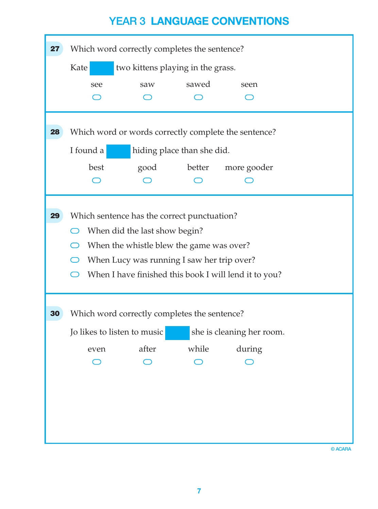| 27 | Which word correctly completes the sentence?          |       |                            |                                                      |  |  |
|----|-------------------------------------------------------|-------|----------------------------|------------------------------------------------------|--|--|
|    | Kate<br>two kittens playing in the grass.             |       |                            |                                                      |  |  |
|    | see                                                   | saw   | sawed                      | seen                                                 |  |  |
|    |                                                       |       |                            |                                                      |  |  |
| 28 |                                                       |       |                            | Which word or words correctly complete the sentence? |  |  |
|    | I found a                                             |       | hiding place than she did. |                                                      |  |  |
|    | best                                                  | good  | better                     | more gooder                                          |  |  |
|    |                                                       |       |                            |                                                      |  |  |
|    |                                                       |       |                            |                                                      |  |  |
| 29 | Which sentence has the correct punctuation?           |       |                            |                                                      |  |  |
|    | When did the last show begin?                         |       |                            |                                                      |  |  |
|    | When the whistle blew the game was over?              |       |                            |                                                      |  |  |
|    | When Lucy was running I saw her trip over?            |       |                            |                                                      |  |  |
|    | When I have finished this book I will lend it to you? |       |                            |                                                      |  |  |
|    |                                                       |       |                            |                                                      |  |  |
| 30 | Which word correctly completes the sentence?          |       |                            |                                                      |  |  |
|    | Jo likes to listen to music                           |       |                            | she is cleaning her room.                            |  |  |
|    | even                                                  | after | while                      | during                                               |  |  |
|    |                                                       |       |                            |                                                      |  |  |
|    |                                                       |       |                            |                                                      |  |  |
|    |                                                       |       |                            |                                                      |  |  |
|    |                                                       |       |                            |                                                      |  |  |
|    |                                                       |       |                            |                                                      |  |  |
|    |                                                       |       |                            |                                                      |  |  |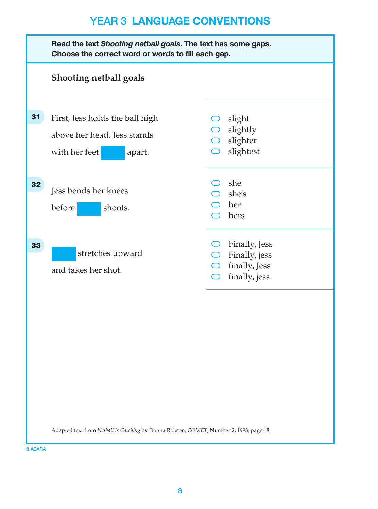|    | Read the text Shooting netball goals. The text has some gaps.<br>Choose the correct word or words to fill each gap. |                                                                                 |  |  |
|----|---------------------------------------------------------------------------------------------------------------------|---------------------------------------------------------------------------------|--|--|
|    | <b>Shooting netball goals</b>                                                                                       |                                                                                 |  |  |
| 31 | First, Jess holds the ball high<br>above her head. Jess stands<br>with her feet<br>apart.                           | slight<br>$\bigcirc$ slightly<br>$\bigcirc$ slighter<br>slightest<br>$\bigcirc$ |  |  |
| 32 | Jess bends her knees<br>before<br>shoots.                                                                           | she<br>$\supset$ she's<br>her<br>hers                                           |  |  |
| 33 | stretches upward<br>and takes her shot.                                                                             | Finally, Jess<br>Finally, jess<br>finally, Jess<br>finally, jess<br>$\bigcap$   |  |  |
|    |                                                                                                                     |                                                                                 |  |  |
|    |                                                                                                                     |                                                                                 |  |  |
|    | Adapted text from Netball Is Catching by Donna Robson, COMET, Number 2, 1998, page 18.                              |                                                                                 |  |  |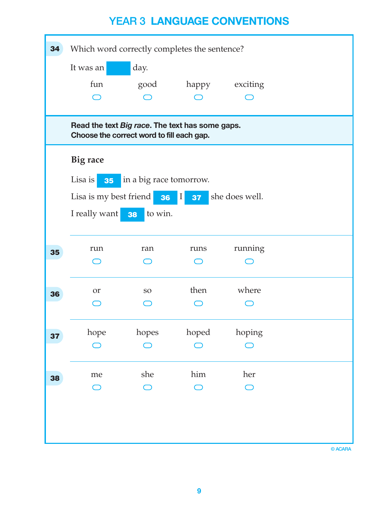| 34 | Which word correctly completes the sentence?                                                 |                                   |                            |                |  |
|----|----------------------------------------------------------------------------------------------|-----------------------------------|----------------------------|----------------|--|
|    | It was an                                                                                    | day.                              |                            |                |  |
|    | fun                                                                                          | good                              | happy                      | exciting       |  |
|    |                                                                                              |                                   |                            |                |  |
|    | Read the text Big race. The text has some gaps.<br>Choose the correct word to fill each gap. |                                   |                            |                |  |
|    | Big race                                                                                     |                                   |                            |                |  |
|    | Lisa is                                                                                      | <b>35</b> in a big race tomorrow. |                            |                |  |
|    | Lisa is my best friend                                                                       | 36                                | 37 <sub>2</sub><br>$\perp$ | she does well. |  |
|    | I really want                                                                                | to win.<br>38                     |                            |                |  |
|    |                                                                                              |                                   |                            |                |  |
| 35 | run                                                                                          | ran                               | runs                       | running        |  |
|    |                                                                                              |                                   |                            |                |  |
| 36 | or                                                                                           | SO <sub>1</sub>                   | then                       | where          |  |
|    |                                                                                              |                                   |                            |                |  |
| 37 | hope                                                                                         | hopes                             | hoped                      | hoping         |  |
|    |                                                                                              |                                   |                            |                |  |
| 38 | me                                                                                           | she                               | him                        | her            |  |
|    |                                                                                              |                                   |                            | $\bigcap$      |  |
|    |                                                                                              |                                   |                            |                |  |
|    |                                                                                              |                                   |                            |                |  |
|    |                                                                                              |                                   |                            |                |  |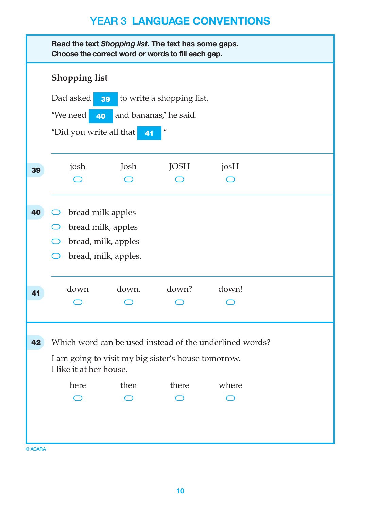|         | Read the text Shopping list. The text has some gaps.<br>Choose the correct word or words to fill each gap. |                      |                   |                                                         |  |  |
|---------|------------------------------------------------------------------------------------------------------------|----------------------|-------------------|---------------------------------------------------------|--|--|
|         | <b>Shopping list</b>                                                                                       |                      |                   |                                                         |  |  |
|         | Dad asked<br>to write a shopping list.<br>39                                                               |                      |                   |                                                         |  |  |
|         | "We need<br>and bananas," he said.<br>$-40$                                                                |                      |                   |                                                         |  |  |
|         | "Did you write all that                                                                                    | 41                   | $^{\prime\prime}$ |                                                         |  |  |
| 39      | josh                                                                                                       | Josh                 | JOSH              | josH                                                    |  |  |
|         |                                                                                                            |                      |                   |                                                         |  |  |
| 40      | bread milk apples                                                                                          |                      |                   |                                                         |  |  |
|         | bread milk, apples                                                                                         |                      |                   |                                                         |  |  |
|         |                                                                                                            | bread, milk, apples  |                   |                                                         |  |  |
|         |                                                                                                            | bread, milk, apples. |                   |                                                         |  |  |
| 41      | down                                                                                                       | down.                | down?             | down!                                                   |  |  |
|         |                                                                                                            |                      |                   |                                                         |  |  |
| 42      |                                                                                                            |                      |                   | Which word can be used instead of the underlined words? |  |  |
|         | I am going to visit my big sister's house tomorrow.<br>I like it at her house.                             |                      |                   |                                                         |  |  |
|         | here                                                                                                       | then                 | there             | where                                                   |  |  |
|         |                                                                                                            |                      |                   |                                                         |  |  |
|         |                                                                                                            |                      |                   |                                                         |  |  |
|         |                                                                                                            |                      |                   |                                                         |  |  |
| © ACARA |                                                                                                            |                      |                   |                                                         |  |  |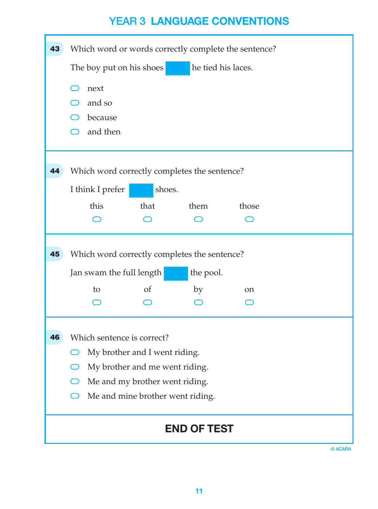| 43 | Which word or words correctly complete the sentence? |                                              |                    |       |         |
|----|------------------------------------------------------|----------------------------------------------|--------------------|-------|---------|
|    | he tied his laces.<br>The boy put on his shoes       |                                              |                    |       |         |
|    | next                                                 |                                              |                    |       |         |
|    | and so                                               |                                              |                    |       |         |
|    | because                                              |                                              |                    |       |         |
|    | and then                                             |                                              |                    |       |         |
|    |                                                      |                                              |                    |       |         |
| 44 |                                                      | Which word correctly completes the sentence? |                    |       |         |
|    | I think I prefer                                     | shoes.                                       |                    |       |         |
|    | this                                                 | that                                         | them               | those |         |
|    |                                                      |                                              |                    |       |         |
|    |                                                      |                                              |                    |       |         |
| 45 |                                                      | Which word correctly completes the sentence? |                    |       |         |
|    | Jan swam the full length                             |                                              | the pool.          |       |         |
|    | to                                                   | <sub>of</sub>                                | by                 | on    |         |
|    |                                                      |                                              |                    |       |         |
|    |                                                      |                                              |                    |       |         |
| 46 | Which sentence is correct?                           |                                              |                    |       |         |
|    |                                                      | My brother and I went riding.                |                    |       |         |
|    |                                                      | My brother and me went riding.               |                    |       |         |
|    |                                                      | Me and my brother went riding.               |                    |       |         |
|    |                                                      | Me and mine brother went riding.             |                    |       |         |
|    |                                                      |                                              | <b>END OF TEST</b> |       |         |
|    |                                                      |                                              |                    |       | © ACARA |